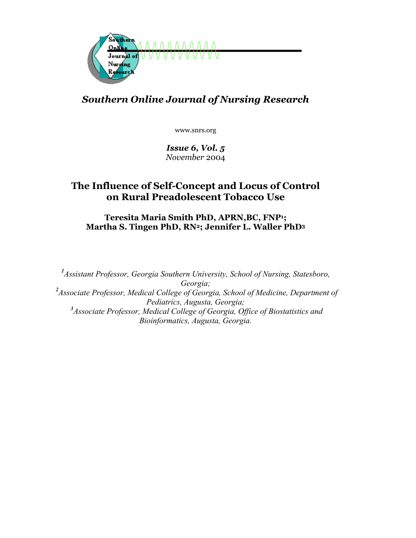

# *Southern Online Journal of Nursing Research*

www.snrs.org

*Issue 6, Vol. 5 November* 2004

## **The Influence of Self-Concept and Locus of Control on Rural Preadolescent Tobacco Use**

**Teresita Maria Smith PhD, APRN,BC, FNP1; Martha S. Tingen PhD, RN2; Jennifer L. Waller PhD3**

*1 Assistant Professor, Georgia Southern University, School of Nursing, Statesboro, Georgia;*  <sup>2</sup> Associate Professor, Medical College of Georgia, School of Medicine, Department of *Pediatrics, Augusta, Georgia; 3 Associate Professor, Medical College of Georgia, Office of Biostatistics and Bioinformatics, Augusta, Georgia.*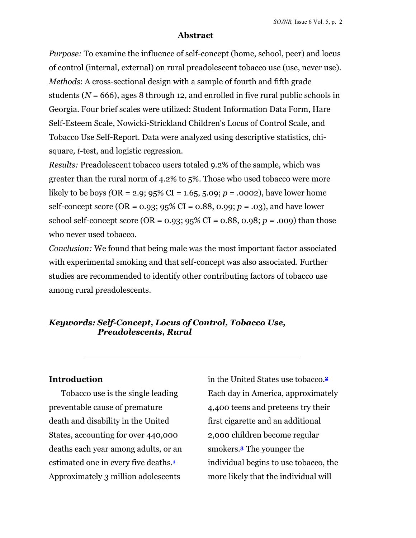#### **Abstract**

*Purpose:* To examine the influence of self-concept (home, school, peer) and locus of control (internal, external) on rural preadolescent tobacco use (use, never use). *Methods*: A cross-sectional design with a sample of fourth and fifth grade students ( $N = 666$ ), ages 8 through 12, and enrolled in five rural public schools in Georgia. Four brief scales were utilized: Student Information Data Form, Hare Self-Esteem Scale, Nowicki-Strickland Children's Locus of Control Scale, and Tobacco Use Self-Report. Data were analyzed using descriptive statistics, chisquare*, t*-test, and logistic regression.

*Results:* Preadolescent tobacco users totaled 9.2% of the sample, which was greater than the rural norm of 4.2% to 5%. Those who used tobacco were more likely to be boys (OR = 2.9;  $95\%$  CI = 1.65, 5.09; *p* = .0002), have lower home self-concept score (OR = 0.93; 95% CI = 0.88, 0.99; *p* = .03), and have lower school self-concept score (OR =  $0.93$ ;  $95\%$  CI =  $0.88$ ,  $0.98$ ;  $p = .009$ ) than those who never used tobacco.

*Conclusion:* We found that being male was the most important factor associated with experimental smoking and that self-concept was also associated. Further studies are recommended to identify other contributing factors of tobacco use among rural preadolescents.

## *Keywords: Self-Concept, Locus of Control, Tobacco Use, Preadolescents, Rural*

#### **Introduction**

Tobacco use is the single leading preventable cause of premature death and disability in the United States, accounting for over 440,000 deaths each year among adults, or an estimated one in every five deaths.**<sup>1</sup>** Approximately 3 million adolescents

in the United States use tobacco.**<sup>2</sup>** Each day in America, approximately 4,400 teens and preteens try their first cigarette and an additional 2,000 children become regular smokers.**<sup>3</sup>** The younger the individual begins to use tobacco, the more likely that the individual will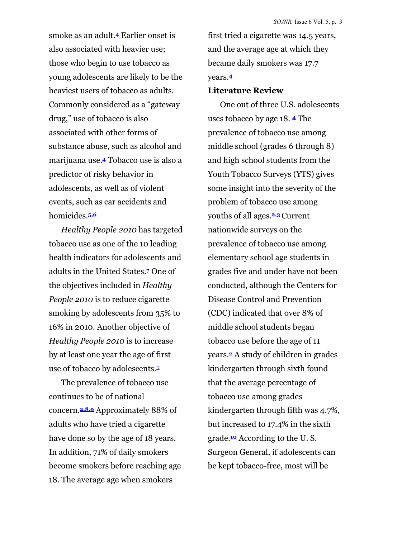smoke as an adult.**4** Earlier onset is also associated with heavier use; those who begin to use tobacco as young adolescents are likely to be the heaviest users of tobacco as adults. Commonly considered as a "gateway drug," use of tobacco is also associated with other forms of substance abuse, such as alcohol and marijuana use.**4** Tobacco use is also a predictor of risky behavior in adolescents, as well as of violent events, such as car accidents and homicides.**5,6** 

*Healthy People 2010* has targeted tobacco use as one of the 10 leading health indicators for adolescents and adults in the United States.**7** One of the objectives included in *Healthy People 2010* is to reduce cigarette smoking by adolescents from 35% to 16% in 2010. Another objective of *Healthy People 2010* is to increase by at least one year the age of first use of tobacco by adolescents.**<sup>7</sup>**

The prevalence of tobacco use continues to be of national concern.**2,8,9** Approximately 88% of adults who have tried a cigarette have done so by the age of 18 years. In addition, 71% of daily smokers become smokers before reaching age 18. The average age when smokers

first tried a cigarette was 14.5 years, and the average age at which they became daily smokers was 17.7 years.**<sup>4</sup>**

#### **Literature Review**

One out of three U.S. adolescents uses tobacco by age 18. **<sup>4</sup>** The prevalence of tobacco use among middle school (grades 6 through 8) and high school students from the Youth Tobacco Surveys (YTS) gives some insight into the severity of the problem of tobacco use among youths of all ages.**2,3** Current nationwide surveys on the prevalence of tobacco use among elementary school age students in grades five and under have not been conducted, although the Centers for Disease Control and Prevention (CDC) indicated that over 8% of middle school students began tobacco use before the age of 11 years.**2** A study of children in grades kindergarten through sixth found that the average percentage of tobacco use among grades kindergarten through fifth was 4.7%, but increased to 17.4% in the sixth grade.**10** According to the U. S. Surgeon General, if adolescents can be kept tobacco-free, most will be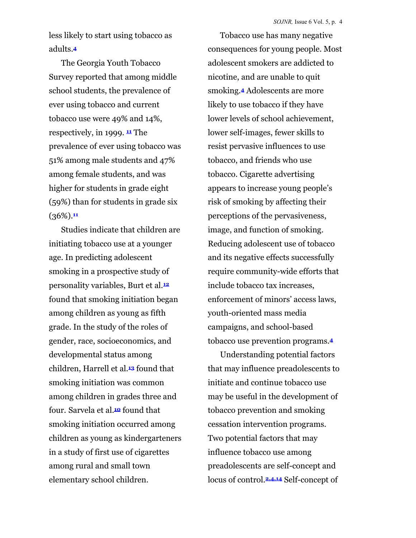less likely to start using tobacco as adults.**<sup>4</sup>**

The Georgia Youth Tobacco Survey reported that among middle school students, the prevalence of ever using tobacco and current tobacco use were 49% and 14%, respectively, in 1999. **<sup>11</sup>** The prevalence of ever using tobacco was 51% among male students and 47% among female students, and was higher for students in grade eight (59%) than for students in grade six (36%).**<sup>11</sup>**

Studies indicate that children are initiating tobacco use at a younger age. In predicting adolescent smoking in a prospective study of personality variables, Burt et al.**<sup>12</sup>** found that smoking initiation began among children as young as fifth grade. In the study of the roles of gender, race, socioeconomics, and developmental status among children, Harrell et al.**13** found that smoking initiation was common among children in grades three and four. Sarvela et al.**10** found that smoking initiation occurred among children as young as kindergarteners in a study of first use of cigarettes among rural and small town elementary school children.

Tobacco use has many negative consequences for young people. Most adolescent smokers are addicted to nicotine, and are unable to quit smoking.**4** Adolescents are more likely to use tobacco if they have lower levels of school achievement, lower self-images, fewer skills to resist pervasive influences to use tobacco, and friends who use tobacco. Cigarette advertising appears to increase young people's risk of smoking by affecting their perceptions of the pervasiveness, image, and function of smoking. Reducing adolescent use of tobacco and its negative effects successfully require community-wide efforts that include tobacco tax increases, enforcement of minors' access laws, youth-oriented mass media campaigns, and school-based tobacco use prevention programs.**<sup>4</sup>**

Understanding potential factors that may influence preadolescents to initiate and continue tobacco use may be useful in the development of tobacco prevention and smoking cessation intervention programs. Two potential factors that may influence tobacco use among preadolescents are self-concept and locus of control.**2,4,14** Self-concept of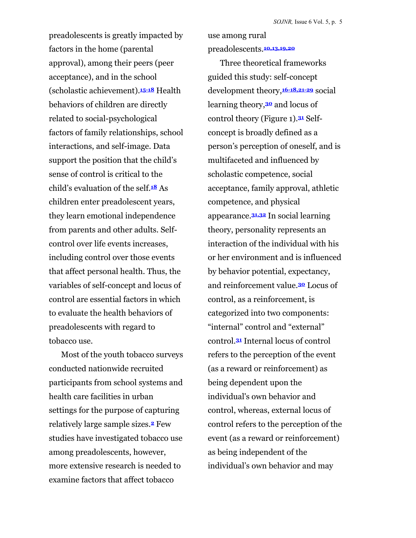preadolescents is greatly impacted by factors in the home (parental approval), among their peers (peer acceptance), and in the school (scholastic achievement).**15-18** Health behaviors of children are directly related to social-psychological factors of family relationships, school interactions, and self-image. Data support the position that the child's sense of control is critical to the child's evaluation of the self.**18** As children enter preadolescent years, they learn emotional independence from parents and other adults. Selfcontrol over life events increases, including control over those events that affect personal health. Thus, the variables of self-concept and locus of control are essential factors in which to evaluate the health behaviors of preadolescents with regard to tobacco use.

Most of the youth tobacco surveys conducted nationwide recruited participants from school systems and health care facilities in urban settings for the purpose of capturing relatively large sample sizes.**2** Few studies have investigated tobacco use among preadolescents, however, more extensive research is needed to examine factors that affect tobacco

preadolescents.**10,13,19,20**

use among rural

Three theoretical frameworks guided this study: self-concept development theory,**16-18,21-29** social learning theory,**30** and locus of control theory (Figure 1).**31** Selfconcept is broadly defined as a person's perception of oneself, and is multifaceted and influenced by scholastic competence, social acceptance, family approval, athletic competence, and physical appearance.**31,32** In social learning theory, personality represents an interaction of the individual with his or her environment and is influenced by behavior potential, expectancy, and reinforcement value.**<sup>30</sup>** Locus of control, as a reinforcement, is categorized into two components: "internal" control and "external" control.**31** Internal locus of control refers to the perception of the event (as a reward or reinforcement) as being dependent upon the individual's own behavior and control, whereas, external locus of control refers to the perception of the event (as a reward or reinforcement) as being independent of the individual's own behavior and may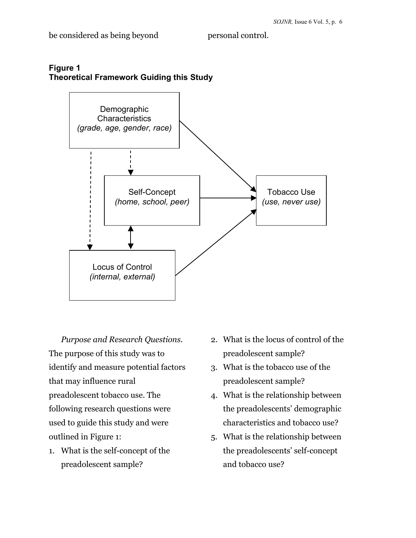

## **Figure 1 Theoretical Framework Guiding this Study**

*Purpose and Research Questions.* The purpose of this study was to identify and measure potential factors that may influence rural preadolescent tobacco use. The following research questions were used to guide this study and were outlined in Figure 1:

1. What is the self-concept of the preadolescent sample?

- 2. What is the locus of control of the preadolescent sample?
- 3. What is the tobacco use of the preadolescent sample?
- 4. What is the relationship between the preadolescents' demographic characteristics and tobacco use?
- 5. What is the relationship between the preadolescents' self-concept and tobacco use?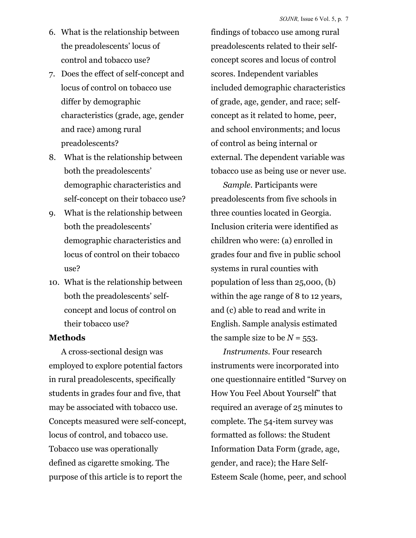- 6. What is the relationship between the preadolescents' locus of control and tobacco use?
- 7. Does the effect of self-concept and locus of control on tobacco use differ by demographic characteristics (grade, age, gender and race) among rural preadolescents?
- 8. What is the relationship between both the preadolescents' demographic characteristics and self-concept on their tobacco use?
- 9. What is the relationship between both the preadolescents' demographic characteristics and locus of control on their tobacco use?
- 10. What is the relationship between both the preadolescents' selfconcept and locus of control on their tobacco use?

#### **Methods**

A cross-sectional design was employed to explore potential factors in rural preadolescents, specifically students in grades four and five, that may be associated with tobacco use. Concepts measured were self-concept, locus of control, and tobacco use. Tobacco use was operationally defined as cigarette smoking. The purpose of this article is to report the

findings of tobacco use among rural preadolescents related to their selfconcept scores and locus of control scores. Independent variables included demographic characteristics of grade, age, gender, and race; selfconcept as it related to home, peer, and school environments; and locus of control as being internal or external. The dependent variable was tobacco use as being use or never use.

*Sample.* Participants were preadolescents from five schools in three counties located in Georgia. Inclusion criteria were identified as children who were: (a) enrolled in grades four and five in public school systems in rural counties with population of less than 25,000, (b) within the age range of 8 to 12 years, and (c) able to read and write in English. Sample analysis estimated the sample size to be  $N = 553$ .

*Instruments.* Four research instruments were incorporated into one questionnaire entitled "Survey on How You Feel About Yourself" that required an average of 25 minutes to complete. The 54-item survey was formatted as follows: the Student Information Data Form (grade, age, gender, and race); the Hare Self-Esteem Scale (home, peer, and school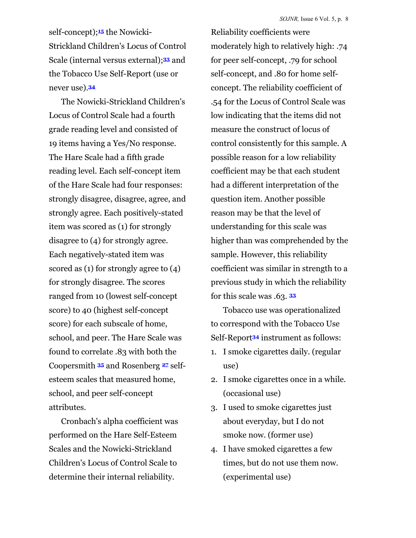self-concept);**15** the Nowicki-Strickland Children's Locus of Control Scale (internal versus external);**33** and the Tobacco Use Self-Report (use or never use).**<sup>34</sup>**

The Nowicki-Strickland Children's Locus of Control Scale had a fourth grade reading level and consisted of 19 items having a Yes/No response. The Hare Scale had a fifth grade reading level. Each self-concept item of the Hare Scale had four responses: strongly disagree, disagree, agree, and strongly agree. Each positively-stated item was scored as (1) for strongly disagree to (4) for strongly agree. Each negatively-stated item was scored as (1) for strongly agree to (4) for strongly disagree. The scores ranged from 10 (lowest self-concept score) to 40 (highest self-concept score) for each subscale of home, school, and peer. The Hare Scale was found to correlate .83 with both the Coopersmith **<sup>35</sup>** and Rosenberg **<sup>27</sup>** selfesteem scales that measured home, school, and peer self-concept attributes.

Cronbach's alpha coefficient was performed on the Hare Self-Esteem Scales and the Nowicki-Strickland Children's Locus of Control Scale to determine their internal reliability.

Reliability coefficients were moderately high to relatively high: .74 for peer self-concept, .79 for school self-concept, and .80 for home selfconcept. The reliability coefficient of .54 for the Locus of Control Scale was low indicating that the items did not measure the construct of locus of control consistently for this sample. A possible reason for a low reliability coefficient may be that each student had a different interpretation of the question item. Another possible reason may be that the level of understanding for this scale was higher than was comprehended by the sample. However, this reliability coefficient was similar in strength to a previous study in which the reliability for this scale was .63. **<sup>33</sup>**

Tobacco use was operationalized to correspond with the Tobacco Use Self-Report**34** instrument as follows:

- 1. I smoke cigarettes daily. (regular use)
- 2. I smoke cigarettes once in a while. (occasional use)
- 3. I used to smoke cigarettes just about everyday, but I do not smoke now. (former use)
- 4. I have smoked cigarettes a few times, but do not use them now. (experimental use)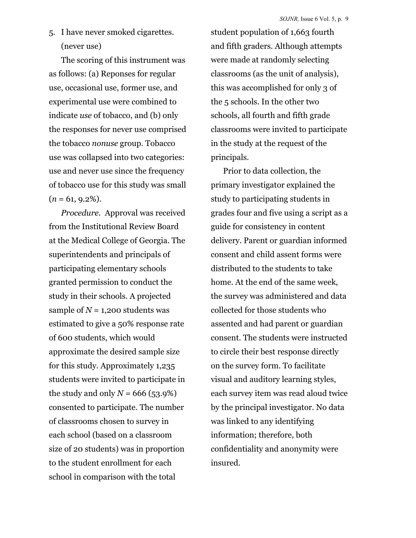5. I have never smoked cigarettes. (never use)

The scoring of this instrument was as follows: (a) Reponses for regular use, occasional use, former use, and experimental use were combined to indicate *use* of tobacco, and (b) only the responses for never use comprised the tobacco *nonuse* group. Tobacco use was collapsed into two categories: use and never use since the frequency of tobacco use for this study was small  $(n = 61, 9.2\%).$ 

*Procedure.* Approval was received from the Institutional Review Board at the Medical College of Georgia. The superintendents and principals of participating elementary schools granted permission to conduct the study in their schools. A projected sample of  $N = 1,200$  students was estimated to give a 50% response rate of 600 students, which would approximate the desired sample size for this study. Approximately 1,235 students were invited to participate in the study and only  $N = 666$  (53.9%) consented to participate. The number of classrooms chosen to survey in each school (based on a classroom size of 20 students) was in proportion to the student enrollment for each school in comparison with the total

student population of 1,663 fourth and fifth graders. Although attempts were made at randomly selecting classrooms (as the unit of analysis), this was accomplished for only 3 of the 5 schools. In the other two schools, all fourth and fifth grade classrooms were invited to participate in the study at the request of the principals.

Prior to data collection, the primary investigator explained the study to participating students in grades four and five using a script as a guide for consistency in content delivery. Parent or guardian informed consent and child assent forms were distributed to the students to take home. At the end of the same week, the survey was administered and data collected for those students who assented and had parent or guardian consent. The students were instructed to circle their best response directly on the survey form. To facilitate visual and auditory learning styles, each survey item was read aloud twice by the principal investigator. No data was linked to any identifying information; therefore, both confidentiality and anonymity were insured.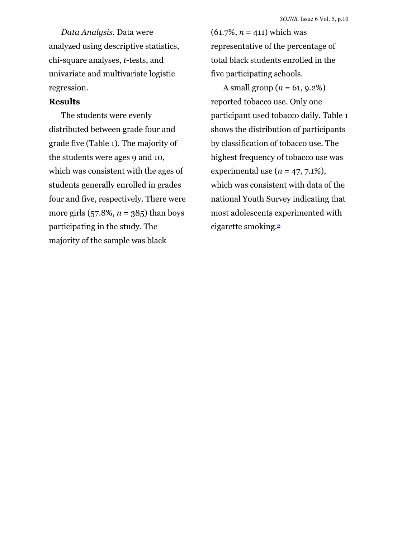*Data Analysis.* Data were analyzed using descriptive statistics, chi-square analyses, *t*-tests, and univariate and multivariate logistic regression.

## **Results**

The students were evenly distributed between grade four and grade five (Table 1). The majority of the students were ages 9 and 10, which was consistent with the ages of students generally enrolled in grades four and five, respectively. There were more girls (57.8%, *n* = 385) than boys participating in the study. The majority of the sample was black

(61.7%, *n* = 411) which was representative of the percentage of total black students enrolled in the five participating schools.

A small group ( $n = 61, 9.2\%$ ) reported tobacco use. Only one participant used tobacco daily. Table 1 shows the distribution of participants by classification of tobacco use. The highest frequency of tobacco use was experimental use  $(n = 47, 7.1\%)$ , which was consistent with data of the national Youth Survey indicating that most adolescents experimented with cigarette smoking.**2**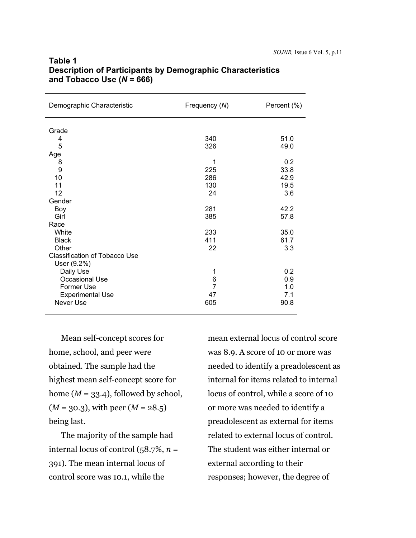| Demographic Characteristic                                   | Frequency (N)            | Percent (%)       |
|--------------------------------------------------------------|--------------------------|-------------------|
| Grade<br>4                                                   | 340                      | 51.0              |
| 5<br>Age                                                     | 326                      | 49.0              |
| 8<br>9                                                       | 1<br>225                 | 0.2<br>33.8       |
| 10<br>11                                                     | 286<br>130               | 42.9<br>19.5      |
| 12                                                           | 24                       | 3.6               |
| Gender<br>Boy                                                | 281                      | 42.2              |
| Girl<br>Race                                                 | 385                      | 57.8              |
| White<br><b>Black</b>                                        | 233<br>411               | 35.0<br>61.7      |
| Other<br><b>Classification of Tobacco Use</b><br>User (9.2%) | 22                       | 3.3               |
| Daily Use<br>Occasional Use<br>Former Use                    | 1<br>6<br>$\overline{7}$ | 0.2<br>0.9<br>1.0 |
| <b>Experimental Use</b><br>Never Use                         | 47<br>605                | 7.1<br>90.8       |

## **Table 1 Description of Participants by Demographic Characteristics and Tobacco Use (***N* **= 666)**

Mean self-concept scores for home, school, and peer were obtained. The sample had the highest mean self-concept score for home  $(M = 33.4)$ , followed by school, (*M* = 30.3), with peer (*M* = 28.5) being last.

The majority of the sample had internal locus of control (58.7%, *n* = 391). The mean internal locus of control score was 10.1, while the

mean external locus of control score was 8.9. A score of 10 or more was needed to identify a preadolescent as internal for items related to internal locus of control, while a score of 10 or more was needed to identify a preadolescent as external for items related to external locus of control. The student was either internal or external according to their responses; however, the degree of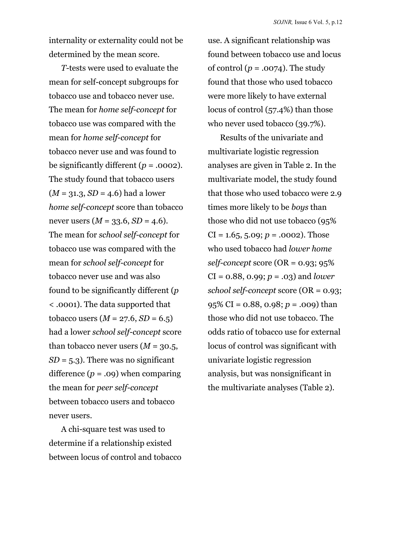internality or externality could not be determined by the mean score.

*T-*tests were used to evaluate the mean for self-concept subgroups for tobacco use and tobacco never use. The mean for *home self-concept* for tobacco use was compared with the mean for *home self-concept* for tobacco never use and was found to be significantly different  $(p = .0002)$ . The study found that tobacco users  $(M = 31.3, SD = 4.6)$  had a lower *home self-concept* score than tobacco never users  $(M = 33.6, SD = 4.6)$ . The mean for *school self-concept* for tobacco use was compared with the mean for *school self-concept* for tobacco never use and was also found to be significantly different (*p* < .0001). The data supported that tobacco users  $(M = 27.6, SD = 6.5)$ had a lower *school self-concept* score than tobacco never users  $(M = 30.5,$  $SD = 5.3$ ). There was no significant difference  $(p = .09)$  when comparing the mean for *peer self-concept* between tobacco users and tobacco never users.

A chi-square test was used to determine if a relationship existed between locus of control and tobacco

use. A significant relationship was found between tobacco use and locus of control  $(p = .0074)$ . The study found that those who used tobacco were more likely to have external locus of control (57.4%) than those who never used tobacco (39.7%).

Results of the univariate and multivariate logistic regression analyses are given in Table 2. In the multivariate model, the study found that those who used tobacco were 2.9 times more likely to be *boys* than those who did not use tobacco (95%  $CI = 1.65, 5.09; p = .0002$ . Those who used tobacco had *lower home self-concept* score (OR = 0.93; 95% CI = 0.88, 0.99; *p* = .03) and *lower school self-concept* score (OR = 0.93; 95% CI = 0.88, 0.98; *p* = .009) than those who did not use tobacco. The odds ratio of tobacco use for external locus of control was significant with univariate logistic regression analysis, but was nonsignificant in the multivariate analyses (Table 2).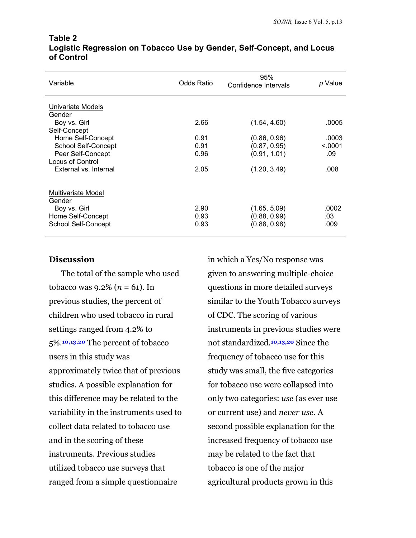| Variable                                                                                 | Odds Ratio           | 95%<br>Confidence Intervals                  | p Value              |
|------------------------------------------------------------------------------------------|----------------------|----------------------------------------------|----------------------|
| Univariate Models<br>Gender                                                              |                      |                                              |                      |
| Boy vs. Girl                                                                             | 2.66                 | (1.54, 4.60)                                 | .0005                |
| Self-Concept                                                                             |                      |                                              |                      |
| Home Self-Concept                                                                        | 0.91                 | (0.86, 0.96)                                 | .0003                |
| School Self-Concept                                                                      | 0.91                 | (0.87, 0.95)                                 | < 0.001              |
| Peer Self-Concept                                                                        | 0.96                 | (0.91, 1.01)                                 | .09                  |
| Locus of Control                                                                         |                      |                                              |                      |
| External vs. Internal                                                                    | 2.05                 | (1.20, 3.49)                                 | .008                 |
| Multivariate Model<br>Gender<br>Boy vs. Girl<br>Home Self-Concept<br>School Self-Concept | 2.90<br>0.93<br>0.93 | (1.65, 5.09)<br>(0.88, 0.99)<br>(0.88, 0.98) | .0002<br>.03<br>.009 |

#### **Table 2 Logistic Regression on Tobacco Use by Gender, Self-Concept, and Locus of Control**

## **Discussion**

The total of the sample who used tobacco was 9.2% (*n* = 61). In previous studies, the percent of children who used tobacco in rural settings ranged from 4.2% to 5%.**10,13,20** The percent of tobacco users in this study was approximately twice that of previous studies. A possible explanation for this difference may be related to the variability in the instruments used to collect data related to tobacco use and in the scoring of these instruments. Previous studies utilized tobacco use surveys that ranged from a simple questionnaire

in which a Yes/No response was given to answering multiple-choice questions in more detailed surveys similar to the Youth Tobacco surveys of CDC. The scoring of various instruments in previous studies were not standardized.**10,13,20** Since the frequency of tobacco use for this study was small, the five categories for tobacco use were collapsed into only two categories: *use* (as ever use or current use) and *never use*. A second possible explanation for the increased frequency of tobacco use may be related to the fact that tobacco is one of the major agricultural products grown in this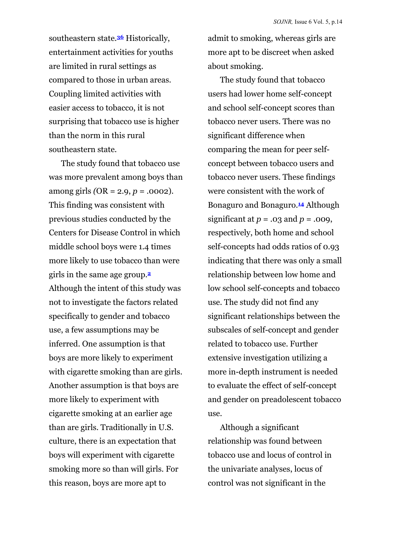southeastern state.**36** Historically, entertainment activities for youths are limited in rural settings as compared to those in urban areas. Coupling limited activities with easier access to tobacco, it is not surprising that tobacco use is higher than the norm in this rural southeastern state.

The study found that tobacco use was more prevalent among boys than among girls *(*OR = 2.9, *p* = .0002). This finding was consistent with previous studies conducted by the Centers for Disease Control in which middle school boys were 1.4 times more likely to use tobacco than were girls in the same age group.**<sup>2</sup>** Although the intent of this study was not to investigate the factors related specifically to gender and tobacco use, a few assumptions may be inferred. One assumption is that boys are more likely to experiment with cigarette smoking than are girls. Another assumption is that boys are more likely to experiment with cigarette smoking at an earlier age than are girls. Traditionally in U.S. culture, there is an expectation that boys will experiment with cigarette smoking more so than will girls. For this reason, boys are more apt to

admit to smoking, whereas girls are more apt to be discreet when asked about smoking.

The study found that tobacco users had lower home self-concept and school self-concept scores than tobacco never users. There was no significant difference when comparing the mean for peer selfconcept between tobacco users and tobacco never users. These findings were consistent with the work of Bonaguro and Bonaguro.**14** Although significant at *p* = .03 and *p* = .009, respectively, both home and school self-concepts had odds ratios of 0.93 indicating that there was only a small relationship between low home and low school self-concepts and tobacco use. The study did not find any significant relationships between the subscales of self-concept and gender related to tobacco use. Further extensive investigation utilizing a more in-depth instrument is needed to evaluate the effect of self-concept and gender on preadolescent tobacco use.

Although a significant relationship was found between tobacco use and locus of control in the univariate analyses, locus of control was not significant in the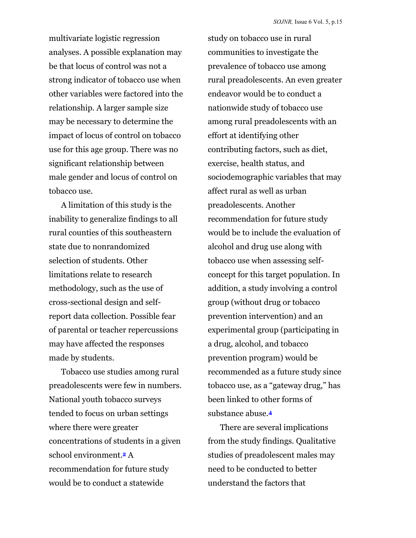multivariate logistic regression analyses. A possible explanation may be that locus of control was not a strong indicator of tobacco use when other variables were factored into the relationship. A larger sample size may be necessary to determine the impact of locus of control on tobacco use for this age group. There was no significant relationship between male gender and locus of control on tobacco use.

A limitation of this study is the inability to generalize findings to all rural counties of this southeastern state due to nonrandomized selection of students. Other limitations relate to research methodology, such as the use of cross-sectional design and selfreport data collection. Possible fear of parental or teacher repercussions may have affected the responses made by students.

Tobacco use studies among rural preadolescents were few in numbers. National youth tobacco surveys tended to focus on urban settings where there were greater concentrations of students in a given school environment.**2** A recommendation for future study would be to conduct a statewide

study on tobacco use in rural communities to investigate the prevalence of tobacco use among rural preadolescents. An even greater endeavor would be to conduct a nationwide study of tobacco use among rural preadolescents with an effort at identifying other contributing factors, such as diet, exercise, health status, and sociodemographic variables that may affect rural as well as urban preadolescents. Another recommendation for future study would be to include the evaluation of alcohol and drug use along with tobacco use when assessing selfconcept for this target population. In addition, a study involving a control group (without drug or tobacco prevention intervention) and an experimental group (participating in a drug, alcohol, and tobacco prevention program) would be recommended as a future study since tobacco use, as a "gateway drug," has been linked to other forms of substance abuse.**<sup>4</sup>**

There are several implications from the study findings. Qualitative studies of preadolescent males may need to be conducted to better understand the factors that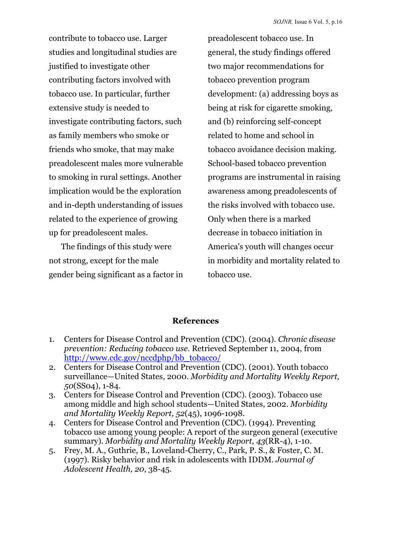contribute to tobacco use. Larger studies and longitudinal studies are justified to investigate other contributing factors involved with tobacco use. In particular, further extensive study is needed to investigate contributing factors, such as family members who smoke or friends who smoke, that may make preadolescent males more vulnerable to smoking in rural settings. Another implication would be the exploration and in-depth understanding of issues related to the experience of growing up for preadolescent males.

The findings of this study were not strong, except for the male gender being significant as a factor in preadolescent tobacco use. In general, the study findings offered two major recommendations for tobacco prevention program development: (a) addressing boys as being at risk for cigarette smoking, and (b) reinforcing self-concept related to home and school in tobacco avoidance decision making. School-based tobacco prevention programs are instrumental in raising awareness among preadolescents of the risks involved with tobacco use. Only when there is a marked decrease in tobacco initiation in America's youth will changes occur in morbidity and mortality related to tobacco use.

## **References**

- 1. Centers for Disease Control and Prevention (CDC). (2004). *Chronic disease prevention: Reducing tobacco use*. Retrieved September 11, 2004, from [http://www.cdc.gov/nccdphp/bb\\_tobacco/](http://www.cdc.gov/nccdphp/bb_tobacco/)
- 2. Centers for Disease Control and Prevention (CDC). (2001). Youth tobacco surveillance—United States, 2000. *Morbidity and Mortality Weekly Report, 50*(SS04), 1-84.
- 3. Centers for Disease Control and Prevention (CDC). (2003). Tobacco use among middle and high school students—United States, 2002. *Morbidity and Mortality Weekly Report, 52*(45), 1096-1098.
- 4. Centers for Disease Control and Prevention (CDC). (1994). Preventing tobacco use among young people: A report of the surgeon general (executive summary). *Morbidity and Mortality Weekly Report, 43*(RR-4), 1-10.
- 5. Frey, M. A., Guthrie, B., Loveland-Cherry, C., Park, P. S., & Foster, C. M. (1997). Risky behavior and risk in adolescents with IDDM. *Journal of Adolescent Health, 20,* 38-45.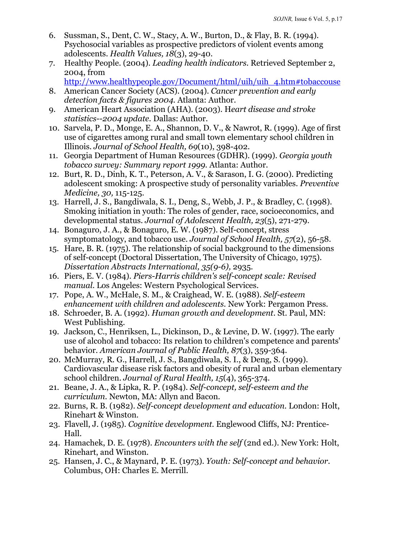- 6. Sussman, S., Dent, C. W., Stacy, A. W., Burton, D., & Flay, B. R. (1994). Psychosocial variables as prospective predictors of violent events among adolescents. *Health Values, 18*(3), 29-40.
- 7. Healthy People. (2004). *Leading health indicators.* Retrieved September 2, 2004, from

[http://www.healthypeople.gov/Document/html/uih/uih\\_4.htm#tobaccouse](http://www.healthypeople.gov/Document/html/uih/uih_4.htm#tobaccouse)

- 8. American Cancer Society (ACS). (2004). *Cancer prevention and early detection facts & figures 2004.* Atlanta: Author.
- 9. American Heart Association (AHA). (2003). H*eart disease and stroke statistics--2004 update.* Dallas: Author.
- 10. Sarvela, P. D., Monge, E. A., Shannon, D. V., & Nawrot, R. (1999). Age of first use of cigarettes among rural and small town elementary school children in Illinois. *Journal of School Health, 69*(10), 398-402.
- 11. Georgia Department of Human Resources (GDHR). (1999). *Georgia youth tobacco survey: Summary report 1999.* Atlanta: Author.
- 12. Burt, R. D., Dinh, K. T., Peterson, A. V., & Sarason, I. G. (2000). Predicting adolescent smoking: A prospective study of personality variables. *Preventive Medicine, 30,* 115-125.
- 13. Harrell, J. S., Bangdiwala, S. I., Deng, S., Webb, J. P., & Bradley, C. (1998). Smoking initiation in youth: The roles of gender, race, socioeconomics, and developmental status. *Journal of Adolescent Health, 23*(5), 271-279.
- 14. Bonaguro, J. A., & Bonaguro, E. W. (1987). Self-concept, stress symptomatology, and tobacco use. *Journal of School Health, 57*(2), 56-58.
- 15. Hare, B. R. (1975). The relationship of social background to the dimensions of self-concept (Doctoral Dissertation, The University of Chicago, 1975). *Dissertation Abstracts International, 35(9-6),* 2935.
- 16. Piers, E. V. (1984). *Piers-Harris children's self-concept scale: Revised manual.* Los Angeles: Western Psychological Services.
- 17. Pope, A. W., McHale, S. M., & Craighead, W. E. (1988). *Self-esteem enhancement with children and adolescents.* New York: Pergamon Press.
- 18. Schroeder, B. A. (1992). *Human growth and development.* St. Paul, MN: West Publishing.
- 19. Jackson, C., Henriksen, L., Dickinson, D., & Levine, D. W. (1997). The early use of alcohol and tobacco: Its relation to children's competence and parents' behavior. *American Journal of Public Health, 87*(3), 359-364.
- 20. McMurray, R. G., Harrell, J. S., Bangdiwala, S. I., & Deng, S. (1999). Cardiovascular disease risk factors and obesity of rural and urban elementary school children. *Journal of Rural Health, 15*(4), 365-374.
- 21. Beane, J. A., & Lipka, R. P. (1984). *Self-concept, self-esteem and the curriculum.* Newton, MA: Allyn and Bacon.
- 22. Burns, R. B. (1982). *Self-concept development and education.* London: Holt, Rinehart & Winston.
- 23. Flavell, J. (1985). *Cognitive development.* Englewood Cliffs, NJ: Prentice-Hall.
- 24. Hamachek, D. E. (1978). *Encounters with the self* (2nd ed.). New York: Holt, Rinehart, and Winston.
- 25. Hansen, J. C., & Maynard, P. E. (1973). *Youth: Self-concept and behavior.* Columbus, OH: Charles E. Merrill.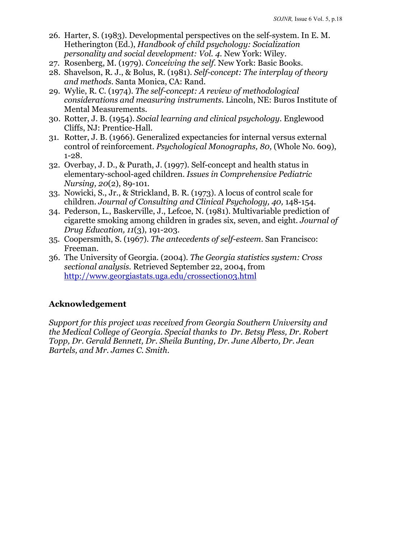- 26. Harter, S. (1983). Developmental perspectives on the self-system. In E. M. Hetherington (Ed.), *Handbook of child psychology: Socialization personality and social development: Vol. 4.* New York: Wiley.
- 27. Rosenberg, M. (1979). *Conceiving the self.* New York: Basic Books.
- 28. Shavelson, R. J., & Bolus, R. (1981). *Self-concept: The interplay of theory and methods.* Santa Monica, CA: Rand.
- 29. Wylie, R. C. (1974). *The self-concept: A review of methodological considerations and measuring instruments.* Lincoln, NE: Buros Institute of Mental Measurements.
- 30. Rotter, J. B. (1954). *Social learning and clinical psychology.* Englewood Cliffs, NJ: Prentice-Hall.
- 31. Rotter, J. B. (1966). Generalized expectancies for internal versus external control of reinforcement. *Psychological Monographs, 80,* (Whole No. 609), 1-28.
- 32. Overbay, J. D., & Purath, J. (1997). Self-concept and health status in elementary-school-aged children. *Issues in Comprehensive Pediatric Nursing, 20*(2), 89-101.
- 33. Nowicki, S., Jr., & Strickland, B. R. (1973). A locus of control scale for children. *Journal of Consulting and Clinical Psychology, 40,* 148-154.
- 34. Pederson, L., Baskerville, J., Lefcoe, N. (1981). Multivariable prediction of cigarette smoking among children in grades six, seven, and eight. *Journal of Drug Education, 11*(3), 191-203.
- 35. Coopersmith, S. (1967). *The antecedents of self-esteem.* San Francisco: Freeman.
- 36. The University of Georgia. (2004). *The Georgia statistics system: Cross sectional analysis.* Retrieved September 22, 2004, from <http://www.georgiastats.uga.edu/crossection03.html>

## **Acknowledgement**

*Support for this project was received from Georgia Southern University and the Medical College of Georgia. Special thanks to Dr. Betsy Pless, Dr. Robert Topp, Dr. Gerald Bennett, Dr. Sheila Bunting, Dr. June Alberto, Dr. Jean Bartels, and Mr. James C. Smith.*